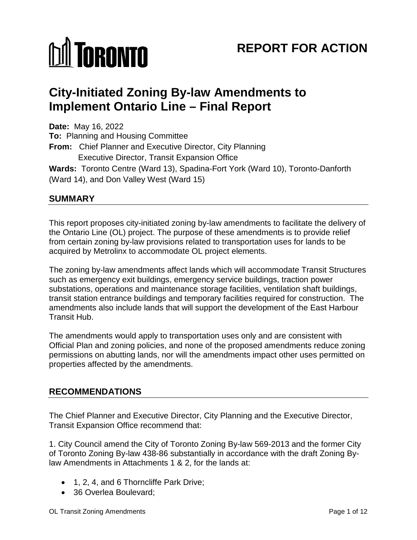# **MI TORONTO**

# **REPORT FOR ACTION**

# **City-Initiated Zoning By-law Amendments to Implement Ontario Line – Final Report**

**Date:** May 16, 2022 **To:** Planning and Housing Committee **From:** Chief Planner and Executive Director, City Planning Executive Director, Transit Expansion Office **Wards:** Toronto Centre (Ward 13), Spadina-Fort York (Ward 10), Toronto-Danforth (Ward 14), and Don Valley West (Ward 15)

# **SUMMARY**

This report proposes city-initiated zoning by-law amendments to facilitate the delivery of the Ontario Line (OL) project. The purpose of these amendments is to provide relief from certain zoning by-law provisions related to transportation uses for lands to be acquired by Metrolinx to accommodate OL project elements.

The zoning by-law amendments affect lands which will accommodate Transit Structures such as emergency exit buildings, emergency service buildings, traction power substations, operations and maintenance storage facilities, ventilation shaft buildings, transit station entrance buildings and temporary facilities required for construction. The amendments also include lands that will support the development of the East Harbour Transit Hub.

The amendments would apply to transportation uses only and are consistent with Official Plan and zoning policies, and none of the proposed amendments reduce zoning permissions on abutting lands, nor will the amendments impact other uses permitted on properties affected by the amendments.

# **RECOMMENDATIONS**

The Chief Planner and Executive Director, City Planning and the Executive Director, Transit Expansion Office recommend that:

1. City Council amend the City of Toronto Zoning By-law 569-2013 and the former City of Toronto Zoning By-law 438-86 substantially in accordance with the draft Zoning Bylaw Amendments in Attachments 1 & 2, for the lands at:

- 1, 2, 4, and 6 Thorncliffe Park Drive;
- 36 Overlea Boulevard: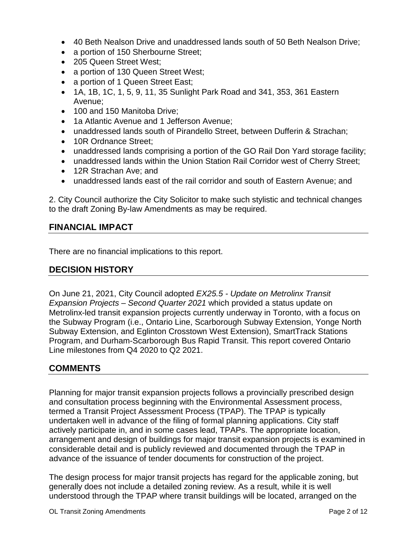- 40 Beth Nealson Drive and unaddressed lands south of 50 Beth Nealson Drive;
- a portion of 150 Sherbourne Street;
- 205 Queen Street West;
- a portion of 130 Queen Street West;
- a portion of 1 Queen Street East;
- 1A, 1B, 1C, 1, 5, 9, 11, 35 Sunlight Park Road and 341, 353, 361 Eastern Avenue;
- 100 and 150 Manitoba Drive:
- 1a Atlantic Avenue and 1 Jefferson Avenue;
- unaddressed lands south of Pirandello Street, between Dufferin & Strachan;
- 10R Ordnance Street;
- unaddressed lands comprising a portion of the GO Rail Don Yard storage facility;
- unaddressed lands within the Union Station Rail Corridor west of Cherry Street;
- 12R Strachan Ave: and
- unaddressed lands east of the rail corridor and south of Eastern Avenue; and

2. City Council authorize the City Solicitor to make such stylistic and technical changes to the draft Zoning By-law Amendments as may be required.

# **FINANCIAL IMPACT**

There are no financial implications to this report.

# **DECISION HISTORY**

On June 21, 2021, City Council adopted *EX25.5 - Update on Metrolinx Transit Expansion Projects – Second Quarter 2021* which provided a status update on Metrolinx-led transit expansion projects currently underway in Toronto, with a focus on the Subway Program (i.e., Ontario Line, Scarborough Subway Extension, Yonge North Subway Extension, and Eglinton Crosstown West Extension), SmartTrack Stations Program, and Durham-Scarborough Bus Rapid Transit. This report covered Ontario Line milestones from Q4 2020 to Q2 2021.

# **COMMENTS**

Planning for major transit expansion projects follows a provincially prescribed design and consultation process beginning with the Environmental Assessment process, termed a Transit Project Assessment Process (TPAP). The TPAP is typically undertaken well in advance of the filing of formal planning applications. City staff actively participate in, and in some cases lead, TPAPs. The appropriate location, arrangement and design of buildings for major transit expansion projects is examined in considerable detail and is publicly reviewed and documented through the TPAP in advance of the issuance of tender documents for construction of the project.

The design process for major transit projects has regard for the applicable zoning, but generally does not include a detailed zoning review. As a result, while it is well understood through the TPAP where transit buildings will be located, arranged on the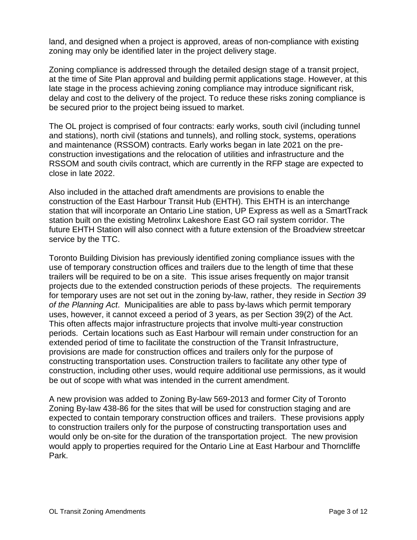land, and designed when a project is approved, areas of non-compliance with existing zoning may only be identified later in the project delivery stage.

Zoning compliance is addressed through the detailed design stage of a transit project, at the time of Site Plan approval and building permit applications stage. However, at this late stage in the process achieving zoning compliance may introduce significant risk, delay and cost to the delivery of the project. To reduce these risks zoning compliance is be secured prior to the project being issued to market.

The OL project is comprised of four contracts: early works, south civil (including tunnel and stations), north civil (stations and tunnels), and rolling stock, systems, operations and maintenance (RSSOM) contracts. Early works began in late 2021 on the preconstruction investigations and the relocation of utilities and infrastructure and the RSSOM and south civils contract, which are currently in the RFP stage are expected to close in late 2022.

Also included in the attached draft amendments are provisions to enable the construction of the East Harbour Transit Hub (EHTH). This EHTH is an interchange station that will incorporate an Ontario Line station, UP Express as well as a SmartTrack station built on the existing Metrolinx Lakeshore East GO rail system corridor. The future EHTH Station will also connect with a future extension of the Broadview streetcar service by the TTC.

Toronto Building Division has previously identified zoning compliance issues with the use of temporary construction offices and trailers due to the length of time that these trailers will be required to be on a site. This issue arises frequently on major transit projects due to the extended construction periods of these projects. The requirements for temporary uses are not set out in the zoning by-law, rather, they reside in *Section 39 of the Planning Act*. Municipalities are able to pass by-laws which permit temporary uses, however, it cannot exceed a period of 3 years, as per Section 39(2) of the Act. This often affects major infrastructure projects that involve multi-year construction periods. Certain locations such as East Harbour will remain under construction for an extended period of time to facilitate the construction of the Transit Infrastructure, provisions are made for construction offices and trailers only for the purpose of constructing transportation uses. Construction trailers to facilitate any other type of construction, including other uses, would require additional use permissions, as it would be out of scope with what was intended in the current amendment.

A new provision was added to Zoning By-law 569-2013 and former City of Toronto Zoning By-law 438-86 for the sites that will be used for construction staging and are expected to contain temporary construction offices and trailers. These provisions apply to construction trailers only for the purpose of constructing transportation uses and would only be on-site for the duration of the transportation project. The new provision would apply to properties required for the Ontario Line at East Harbour and Thorncliffe Park.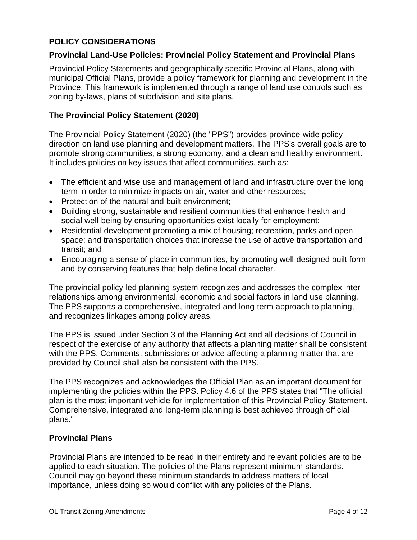## **POLICY CONSIDERATIONS**

#### **Provincial Land-Use Policies: Provincial Policy Statement and Provincial Plans**

Provincial Policy Statements and geographically specific Provincial Plans, along with municipal Official Plans, provide a policy framework for planning and development in the Province. This framework is implemented through a range of land use controls such as zoning by-laws, plans of subdivision and site plans.

#### **The Provincial Policy Statement (2020)**

The Provincial Policy Statement (2020) (the "PPS") provides province-wide policy direction on land use planning and development matters. The PPS's overall goals are to promote strong communities, a strong economy, and a clean and healthy environment. It includes policies on key issues that affect communities, such as:

- The efficient and wise use and management of land and infrastructure over the long term in order to minimize impacts on air, water and other resources;
- Protection of the natural and built environment:
- Building strong, sustainable and resilient communities that enhance health and social well-being by ensuring opportunities exist locally for employment;
- Residential development promoting a mix of housing; recreation, parks and open space; and transportation choices that increase the use of active transportation and transit; and
- Encouraging a sense of place in communities, by promoting well-designed built form and by conserving features that help define local character.

The provincial policy-led planning system recognizes and addresses the complex interrelationships among environmental, economic and social factors in land use planning. The PPS supports a comprehensive, integrated and long-term approach to planning, and recognizes linkages among policy areas.

The PPS is issued under Section 3 of the Planning Act and all decisions of Council in respect of the exercise of any authority that affects a planning matter shall be consistent with the PPS. Comments, submissions or advice affecting a planning matter that are provided by Council shall also be consistent with the PPS.

The PPS recognizes and acknowledges the Official Plan as an important document for implementing the policies within the PPS. Policy 4.6 of the PPS states that "The official plan is the most important vehicle for implementation of this Provincial Policy Statement. Comprehensive, integrated and long-term planning is best achieved through official plans."

#### **Provincial Plans**

Provincial Plans are intended to be read in their entirety and relevant policies are to be applied to each situation. The policies of the Plans represent minimum standards. Council may go beyond these minimum standards to address matters of local importance, unless doing so would conflict with any policies of the Plans.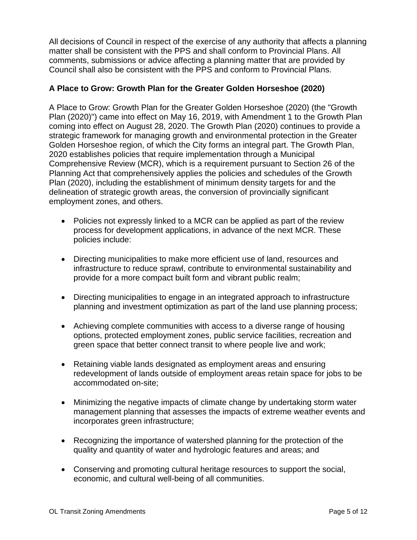All decisions of Council in respect of the exercise of any authority that affects a planning matter shall be consistent with the PPS and shall conform to Provincial Plans. All comments, submissions or advice affecting a planning matter that are provided by Council shall also be consistent with the PPS and conform to Provincial Plans.

## **A Place to Grow: Growth Plan for the Greater Golden Horseshoe (2020)**

A Place to Grow: Growth Plan for the Greater Golden Horseshoe (2020) (the "Growth Plan (2020)") came into effect on May 16, 2019, with Amendment 1 to the Growth Plan coming into effect on August 28, 2020. The Growth Plan (2020) continues to provide a strategic framework for managing growth and environmental protection in the Greater Golden Horseshoe region, of which the City forms an integral part. The Growth Plan, 2020 establishes policies that require implementation through a Municipal Comprehensive Review (MCR), which is a requirement pursuant to Section 26 of the Planning Act that comprehensively applies the policies and schedules of the Growth Plan (2020), including the establishment of minimum density targets for and the delineation of strategic growth areas, the conversion of provincially significant employment zones, and others.

- Policies not expressly linked to a MCR can be applied as part of the review process for development applications, in advance of the next MCR. These policies include:
- Directing municipalities to make more efficient use of land, resources and infrastructure to reduce sprawl, contribute to environmental sustainability and provide for a more compact built form and vibrant public realm;
- Directing municipalities to engage in an integrated approach to infrastructure planning and investment optimization as part of the land use planning process;
- Achieving complete communities with access to a diverse range of housing options, protected employment zones, public service facilities, recreation and green space that better connect transit to where people live and work;
- Retaining viable lands designated as employment areas and ensuring redevelopment of lands outside of employment areas retain space for jobs to be accommodated on-site;
- Minimizing the negative impacts of climate change by undertaking storm water management planning that assesses the impacts of extreme weather events and incorporates green infrastructure;
- Recognizing the importance of watershed planning for the protection of the quality and quantity of water and hydrologic features and areas; and
- Conserving and promoting cultural heritage resources to support the social, economic, and cultural well-being of all communities.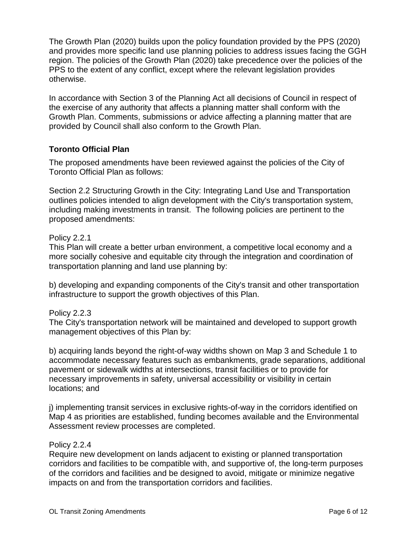The Growth Plan (2020) builds upon the policy foundation provided by the PPS (2020) and provides more specific land use planning policies to address issues facing the GGH region. The policies of the Growth Plan (2020) take precedence over the policies of the PPS to the extent of any conflict, except where the relevant legislation provides otherwise.

In accordance with Section 3 of the Planning Act all decisions of Council in respect of the exercise of any authority that affects a planning matter shall conform with the Growth Plan. Comments, submissions or advice affecting a planning matter that are provided by Council shall also conform to the Growth Plan.

#### **Toronto Official Plan**

The proposed amendments have been reviewed against the policies of the City of Toronto Official Plan as follows:

Section 2.2 Structuring Growth in the City: Integrating Land Use and Transportation outlines policies intended to align development with the City's transportation system, including making investments in transit. The following policies are pertinent to the proposed amendments:

#### Policy 2.2.1

This Plan will create a better urban environment, a competitive local economy and a more socially cohesive and equitable city through the integration and coordination of transportation planning and land use planning by:

b) developing and expanding components of the City's transit and other transportation infrastructure to support the growth objectives of this Plan.

# Policy 2.2.3

The City's transportation network will be maintained and developed to support growth management objectives of this Plan by:

b) acquiring lands beyond the right-of-way widths shown on Map 3 and Schedule 1 to accommodate necessary features such as embankments, grade separations, additional pavement or sidewalk widths at intersections, transit facilities or to provide for necessary improvements in safety, universal accessibility or visibility in certain locations; and

j) implementing transit services in exclusive rights-of-way in the corridors identified on Map 4 as priorities are established, funding becomes available and the Environmental Assessment review processes are completed.

#### Policy 2.2.4

Require new development on lands adjacent to existing or planned transportation corridors and facilities to be compatible with, and supportive of, the long-term purposes of the corridors and facilities and be designed to avoid, mitigate or minimize negative impacts on and from the transportation corridors and facilities.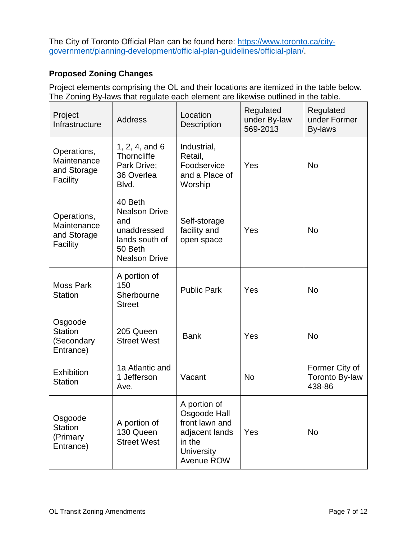The City of Toronto Official Plan can be found here: [https://www.toronto.ca/city](https://www.toronto.ca/city-government/planning-development/official-plan-guidelines/official-plan/)[government/planning-development/official-plan-guidelines/official-plan/.](https://www.toronto.ca/city-government/planning-development/official-plan-guidelines/official-plan/)

# **Proposed Zoning Changes**

Project elements comprising the OL and their locations are itemized in the table below. The Zoning By-laws that regulate each element are likewise outlined in the table.

| Project<br>Infrastructure                             | <b>Address</b>                                                                                             | Location<br><b>Description</b>                                                                                | Regulated<br>under By-law<br>569-2013 | Regulated<br>under Former<br><b>By-laws</b>       |
|-------------------------------------------------------|------------------------------------------------------------------------------------------------------------|---------------------------------------------------------------------------------------------------------------|---------------------------------------|---------------------------------------------------|
| Operations,<br>Maintenance<br>and Storage<br>Facility | 1, 2, 4, and 6<br><b>Thorncliffe</b><br>Park Drive;<br>36 Overlea<br>Blvd.                                 | Industrial,<br>Retail,<br>Foodservice<br>and a Place of<br>Worship                                            | Yes                                   | <b>No</b>                                         |
| Operations,<br>Maintenance<br>and Storage<br>Facility | 40 Beth<br><b>Nealson Drive</b><br>and<br>unaddressed<br>lands south of<br>50 Beth<br><b>Nealson Drive</b> | Self-storage<br>facility and<br>open space                                                                    | Yes                                   | <b>No</b>                                         |
| <b>Moss Park</b><br><b>Station</b>                    | A portion of<br>150<br>Sherbourne<br><b>Street</b>                                                         | <b>Public Park</b>                                                                                            | Yes                                   | <b>No</b>                                         |
| Osgoode<br><b>Station</b><br>(Secondary<br>Entrance)  | 205 Queen<br><b>Street West</b>                                                                            | <b>Bank</b>                                                                                                   | Yes                                   | <b>No</b>                                         |
| Exhibition<br><b>Station</b>                          | 1a Atlantic and<br>1 Jefferson<br>Ave.                                                                     | Vacant                                                                                                        | <b>No</b>                             | Former City of<br><b>Toronto By-law</b><br>438-86 |
| Osgoode<br><b>Station</b><br>(Primary<br>Entrance)    | A portion of<br>130 Queen<br><b>Street West</b>                                                            | A portion of<br>Osgoode Hall<br>front lawn and<br>adjacent lands<br>in the<br><b>University</b><br>Avenue ROW | Yes                                   | <b>No</b>                                         |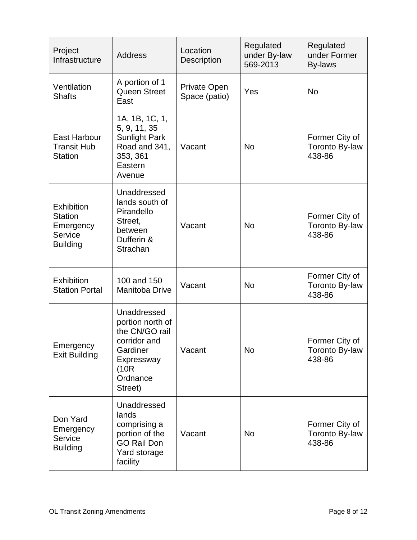| Project<br>Infrastructure                                                             | <b>Address</b>                                                                                                              | Location<br>Description              | Regulated<br>under By-law<br>569-2013 | Regulated<br>under Former<br>By-laws              |
|---------------------------------------------------------------------------------------|-----------------------------------------------------------------------------------------------------------------------------|--------------------------------------|---------------------------------------|---------------------------------------------------|
| Ventilation<br><b>Shafts</b>                                                          | A portion of 1<br><b>Queen Street</b><br>East                                                                               | <b>Private Open</b><br>Space (patio) | Yes                                   | <b>No</b>                                         |
| <b>East Harbour</b><br><b>Transit Hub</b><br><b>Station</b>                           | 1A, 1B, 1C, 1,<br>5, 9, 11, 35<br><b>Sunlight Park</b><br>Road and 341,<br>353, 361<br>Eastern<br>Avenue                    | Vacant                               | <b>No</b>                             | Former City of<br>Toronto By-law<br>438-86        |
| <b>Exhibition</b><br><b>Station</b><br>Emergency<br><b>Service</b><br><b>Building</b> | Unaddressed<br>lands south of<br>Pirandello<br>Street,<br>between<br>Dufferin &<br>Strachan                                 | Vacant                               | <b>No</b>                             | Former City of<br><b>Toronto By-law</b><br>438-86 |
| <b>Exhibition</b><br><b>Station Portal</b>                                            | 100 and 150<br><b>Manitoba Drive</b>                                                                                        | Vacant                               | <b>No</b>                             | Former City of<br><b>Toronto By-law</b><br>438-86 |
| Emergency<br><b>Exit Building</b>                                                     | Unaddressed<br>portion north of<br>the CN/GO rail<br>corridor and<br>Gardiner<br>Expressway<br>(10R)<br>Ordnance<br>Street) | Vacant                               | <b>No</b>                             | Former City of<br><b>Toronto By-law</b><br>438-86 |
| Don Yard<br>Emergency<br><b>Service</b><br><b>Building</b>                            | Unaddressed<br>lands<br>comprising a<br>portion of the<br><b>GO Rail Don</b><br>Yard storage<br>facility                    | Vacant                               | <b>No</b>                             | Former City of<br>Toronto By-law<br>438-86        |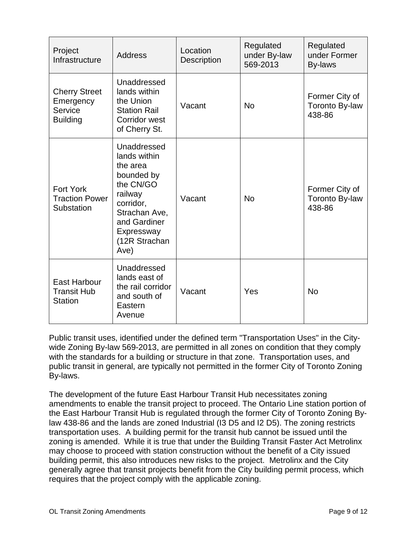| Project<br>Infrastructure                                       | <b>Address</b>                                                                                                                                                     | Location<br>Description | Regulated<br>under By-law<br>569-2013 | Regulated<br>under Former<br>By-laws              |
|-----------------------------------------------------------------|--------------------------------------------------------------------------------------------------------------------------------------------------------------------|-------------------------|---------------------------------------|---------------------------------------------------|
| <b>Cherry Street</b><br>Emergency<br>Service<br><b>Building</b> | Unaddressed<br>lands within<br>the Union<br><b>Station Rail</b><br>Corridor west<br>of Cherry St.                                                                  | Vacant                  | <b>No</b>                             | Former City of<br>Toronto By-law<br>438-86        |
| <b>Fort York</b><br><b>Traction Power</b><br>Substation         | Unaddressed<br>lands within<br>the area<br>bounded by<br>the CN/GO<br>railway<br>corridor,<br>Strachan Ave,<br>and Gardiner<br>Expressway<br>(12R Strachan<br>Ave) | Vacant                  | <b>No</b>                             | Former City of<br><b>Toronto By-law</b><br>438-86 |
| <b>East Harbour</b><br><b>Transit Hub</b><br><b>Station</b>     | Unaddressed<br>lands east of<br>the rail corridor<br>and south of<br>Eastern<br>Avenue                                                                             | Vacant                  | Yes                                   | <b>No</b>                                         |

Public transit uses, identified under the defined term "Transportation Uses" in the Citywide Zoning By-law 569-2013, are permitted in all zones on condition that they comply with the standards for a building or structure in that zone. Transportation uses, and public transit in general, are typically not permitted in the former City of Toronto Zoning By-laws.

The development of the future East Harbour Transit Hub necessitates zoning amendments to enable the transit project to proceed. The Ontario Line station portion of the East Harbour Transit Hub is regulated through the former City of Toronto Zoning Bylaw 438-86 and the lands are zoned Industrial (I3 D5 and I2 D5). The zoning restricts transportation uses. A building permit for the transit hub cannot be issued until the zoning is amended. While it is true that under the Building Transit Faster Act Metrolinx may choose to proceed with station construction without the benefit of a City issued building permit, this also introduces new risks to the project. Metrolinx and the City generally agree that transit projects benefit from the City building permit process, which requires that the project comply with the applicable zoning.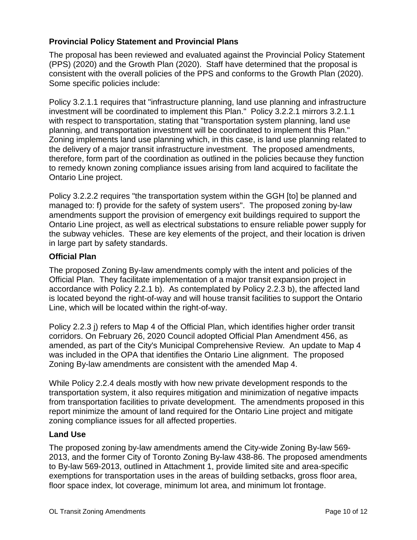# **Provincial Policy Statement and Provincial Plans**

The proposal has been reviewed and evaluated against the Provincial Policy Statement (PPS) (2020) and the Growth Plan (2020). Staff have determined that the proposal is consistent with the overall policies of the PPS and conforms to the Growth Plan (2020). Some specific policies include:

Policy 3.2.1.1 requires that "infrastructure planning, land use planning and infrastructure investment will be coordinated to implement this Plan." Policy 3.2.2.1 mirrors 3.2.1.1 with respect to transportation, stating that "transportation system planning, land use planning, and transportation investment will be coordinated to implement this Plan." Zoning implements land use planning which, in this case, is land use planning related to the delivery of a major transit infrastructure investment. The proposed amendments, therefore, form part of the coordination as outlined in the policies because they function to remedy known zoning compliance issues arising from land acquired to facilitate the Ontario Line project.

Policy 3.2.2.2 requires "the transportation system within the GGH [to] be planned and managed to: f) provide for the safety of system users". The proposed zoning by-law amendments support the provision of emergency exit buildings required to support the Ontario Line project, as well as electrical substations to ensure reliable power supply for the subway vehicles. These are key elements of the project, and their location is driven in large part by safety standards.

#### **Official Plan**

The proposed Zoning By-law amendments comply with the intent and policies of the Official Plan. They facilitate implementation of a major transit expansion project in accordance with Policy 2.2.1 b). As contemplated by Policy 2.2.3 b), the affected land is located beyond the right-of-way and will house transit facilities to support the Ontario Line, which will be located within the right-of-way.

Policy 2.2.3 j) refers to Map 4 of the Official Plan, which identifies higher order transit corridors. On February 26, 2020 Council adopted Official Plan Amendment 456, as amended, as part of the City's Municipal Comprehensive Review. An update to Map 4 was included in the OPA that identifies the Ontario Line alignment. The proposed Zoning By-law amendments are consistent with the amended Map 4.

While Policy 2.2.4 deals mostly with how new private development responds to the transportation system, it also requires mitigation and minimization of negative impacts from transportation facilities to private development. The amendments proposed in this report minimize the amount of land required for the Ontario Line project and mitigate zoning compliance issues for all affected properties.

#### **Land Use**

The proposed zoning by-law amendments amend the City-wide Zoning By-law 569- 2013, and the former City of Toronto Zoning By-law 438-86. The proposed amendments to By-law 569-2013, outlined in Attachment 1, provide limited site and area-specific exemptions for transportation uses in the areas of building setbacks, gross floor area, floor space index, lot coverage, minimum lot area, and minimum lot frontage.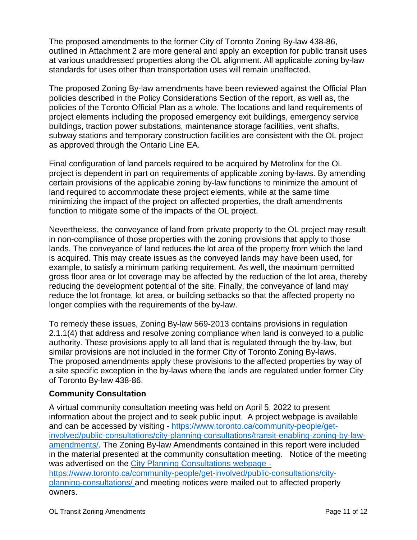The proposed amendments to the former City of Toronto Zoning By-law 438-86, outlined in Attachment 2 are more general and apply an exception for public transit uses at various unaddressed properties along the OL alignment. All applicable zoning by-law standards for uses other than transportation uses will remain unaffected.

The proposed Zoning By-law amendments have been reviewed against the Official Plan policies described in the Policy Considerations Section of the report, as well as, the policies of the Toronto Official Plan as a whole. The locations and land requirements of project elements including the proposed emergency exit buildings, emergency service buildings, traction power substations, maintenance storage facilities, vent shafts, subway stations and temporary construction facilities are consistent with the OL project as approved through the Ontario Line EA.

Final configuration of land parcels required to be acquired by Metrolinx for the OL project is dependent in part on requirements of applicable zoning by-laws. By amending certain provisions of the applicable zoning by-law functions to minimize the amount of land required to accommodate these project elements, while at the same time minimizing the impact of the project on affected properties, the draft amendments function to mitigate some of the impacts of the OL project.

Nevertheless, the conveyance of land from private property to the OL project may result in non-compliance of those properties with the zoning provisions that apply to those lands. The conveyance of land reduces the lot area of the property from which the land is acquired. This may create issues as the conveyed lands may have been used, for example, to satisfy a minimum parking requirement. As well, the maximum permitted gross floor area or lot coverage may be affected by the reduction of the lot area, thereby reducing the development potential of the site. Finally, the conveyance of land may reduce the lot frontage, lot area, or building setbacks so that the affected property no longer complies with the requirements of the by-law.

To remedy these issues, Zoning By-law 569-2013 contains provisions in regulation 2.1.1(4) that address and resolve zoning compliance when land is conveyed to a public authority. These provisions apply to all land that is regulated through the by-law, but similar provisions are not included in the former City of Toronto Zoning By-laws. The proposed amendments apply these provisions to the affected properties by way of a site specific exception in the by-laws where the lands are regulated under former City of Toronto By-law 438-86.

#### **Community Consultation**

A virtual community consultation meeting was held on April 5, 2022 to present information about the project and to seek public input. A project webpage is available and can be accessed by visiting - [https://www.toronto.ca/community-people/get](https://www.toronto.ca/community-people/get-involved/public-consultations/city-planning-consultations/transit-enabling-zoning-by-law-amendments/)[involved/public-consultations/city-planning-consultations/transit-enabling-zoning-by-law](https://www.toronto.ca/community-people/get-involved/public-consultations/city-planning-consultations/transit-enabling-zoning-by-law-amendments/)[amendments/.](https://www.toronto.ca/community-people/get-involved/public-consultations/city-planning-consultations/transit-enabling-zoning-by-law-amendments/) The Zoning By-law Amendments contained in this report were included in the material presented at the community consultation meeting. Notice of the meeting was advertised on the City Planning Consultations webpage [https://www.toronto.ca/community-people/get-involved/public-consultations/city](https://www.toronto.ca/community-people/get-involved/public-consultations/city-planning-consultations/)[planning-consultations/](https://www.toronto.ca/community-people/get-involved/public-consultations/city-planning-consultations/) and meeting notices were mailed out to affected property owners.